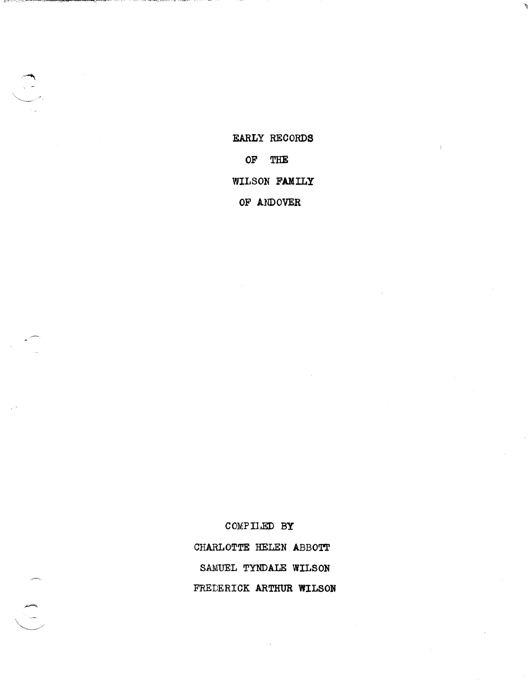EARLY RECORDS OF THE WILSON FAMILY OF ANDOVER

COMPILED BY CHARLOTTE HELEN ABBOTT SAMUEL TYNDALE WILSON FREDERICK ARTHUR WILSON



 $\begin{pmatrix} 1 & 1 \\ 1 & 1 \end{pmatrix}$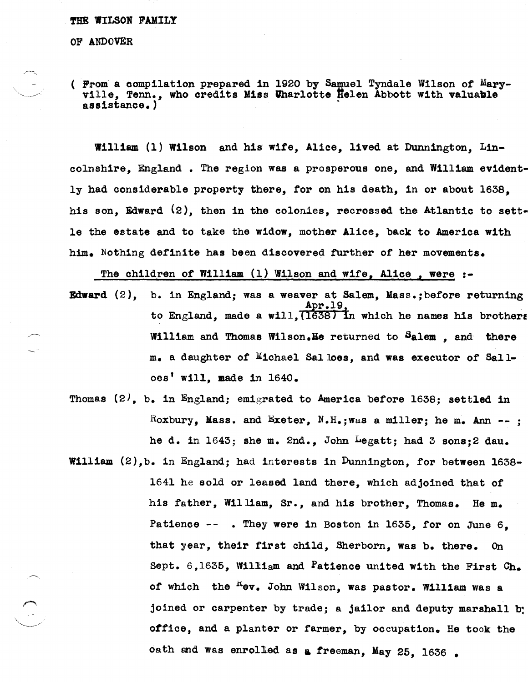#### '1'HE WILSOR FAMILY

OF ANDOVER

(  $\mathbb{P}$ rom a compilation prepared in 1920 by Samuel Tyndale Wilson of Maryville, Tenn., who credits Miss Uharlotte Helen Abbott with valuable assistance.)

William (1) Wilson and his wife, Alice, lived at Dunnington, Lincolnshire, England. The region was a prosperous one, and William evidently had considerable property there, for on his death, in or about 1638, his son, Edward  $(2)$ , then in the colonies, recrossed the Atlantic to settle the estate and to take the widow, mother Alice, back to America with him. Nothing definite has been discovered turther of her movements.

The children of William (1) Wilson and wife, Alice, were :-

- Edward  $(2)$ , b. in England; was a weaver at Salem. Mass.; before returning Apr.19,<br>to England, made a will, (1638) in which he names his brothers William and Thomas Wilson. He returned to Salem , and there m. a daughter of Michael Salloes, and was executor of Salloes' w111, made 1n 1640.
- Thomas  $(2)$ , b. in England; emigrated to America before 1638; settled in Roxbury, Mass. and Exeter, N.H.; was a miller; he m. Ann --; he d. 1n 1643; she m. 2nd., John Legatt; had 3 sons;2 dau.

William (2),b. in England; had interests in Dunnington, for between 1638- 1641 he sold or leased land there, which adjoined that of his father, William, Sr., and his brother, Thomas. He m. Patience -- . They were in Boston in 1635, for on June 6. that year, their first child, Sherborn, was b. there. On Sept. 6,1635, William and Patience united with the First Ch. of which the <sup>n</sup>ev. John Wilson, was pastor. William was a joined or carpenter by trade; a jailor and deputy marshall b: office, and a planter or farmer, by occupation. He took the oath and was enrolled as a freeman, May 25, 1636.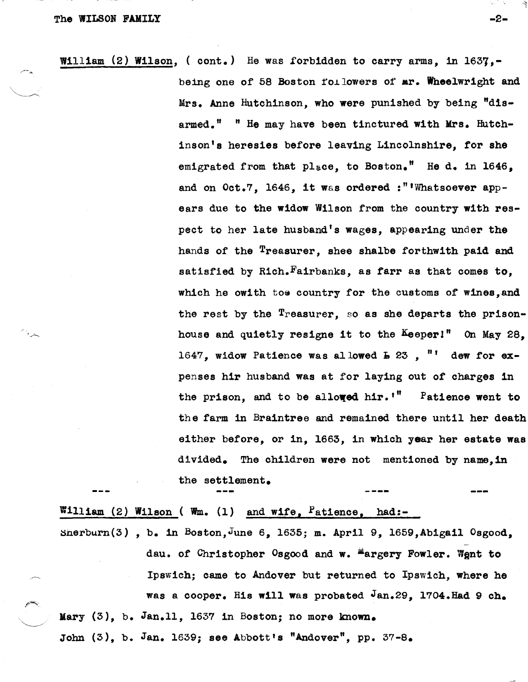$\curvearrowleft$  .

William (2) Wilson, (cont.) He was forbidden to carry arms, in 1637,being one of 58 Boston followers of mr. Wheelwright and Mrs. Anne Hutchinson, who were punished by being "disarmed.<sup>"</sup> "He may have been tinctured with Mrs. Hutchinson's heresies before leaving Lincolnshire, for she emigrated from that place, to Boston." He d. in 1646, and on Oct.7, 1646, it was ordered :"'Whatsoever appears due to the widow Wilson from the country with respect to her late husband's wages, appearing under the hands of the <sup>T</sup>reasurer, shee shalbe forthwith paid and satisfied by Rich. Fairbanks, as farr as that comes to, which he owith toe country for the customs of wines, and the rest by the Treasurer, so as she departs the prisonhouse and quietly resigne it to the Keeper!" On May 28. 1647, widow Patience was allowed  $E \approx 23$ , "' dew for expenses hir husband was at for laying out of charges in the prison, and to be allowed hir.'" Patience went to the farm in Braintree and remained there until her death either before, or in, 1663, in which year her estate was divided. The children were not mentioned by name. in the settlement. ---

William (2) Wilson ( Wm. (1) and wife, Patience, had:- $Snerburn(3)$ , b. in Boston, June 6, 1635; m. April 9, 1659, Abigail Osgood, dau. of Christopher Osgood and w. Hargery Fowler. Went to Ipswich; came to Andover but returned to Ipswich, where he was a cooper. His will was probated  $Jan.29$ , 1704.Had 9 ch. Mary  $(3)$ , b. Jan.11, 1637 in Boston; no more known. John  $(3)$ , b. Jan. 1639; see Abbott's "Andover", pp. 37-8.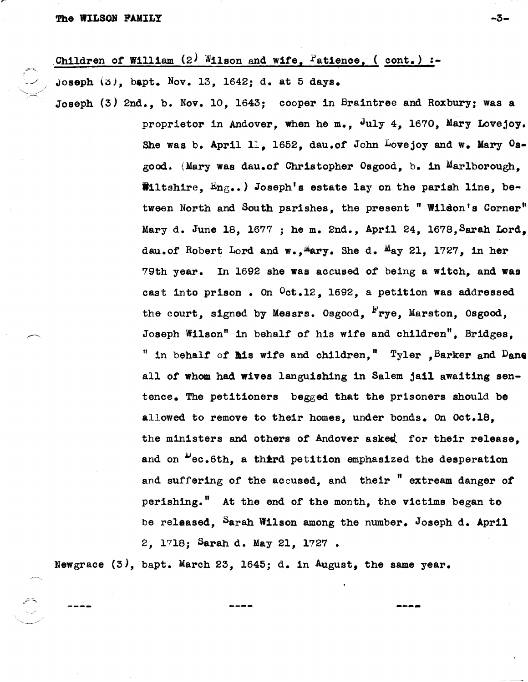# Children of William  $(2)$  Wilson and wife, Patience,  $($  cont.) :-

Joseph  $(3)$ , bapt. Nov. 13, 1642; d. at 5 days.

Joseph (3) 2nd., b. Nov. 10, 1643; cooper in Braintree and Roxbury; was a proprietor in Andover, when he m.,  $J_{uly}$  4, 1670, Mary Lovejoy. She was b. April 11, 1652, dau.of John Lovejoy and w. Mary  $0s$ good. (Mary was dau.of Christopher Osgood, b. in Marlborough, Wiltshire,  $Eng_{\bullet\bullet}$  ) Joseph's estate lay on the parish line, between North and South parishes, the present" Wilson's Corner" Mary d. June 18, 1677; he m. 2nd., April 24, 1678, Sarah Lord. dau.of Robert Lord and  $w_*,$  Mary. She d. May 21, 1727, in her 79th year. In 1692 she was accused of being a witch, and was cast into prison. On  $0$ ct.12, 1692, a petition was addressed the court, signed by Messrs. Osgood, Frye, Marston, Osgood, Joseph Wilson" 1n behalf of his wife and Children", Bridges, " in behalf of his wife and children,"  $T_{\rm y}$ ler , Barker and Dane all of whom had wives languishing in Salem jail awaiting sentence. The petitioners begged that the prisoners should be allowed to remove to their homes, under bonds. On Oct.18, the ministers and others of Andover asked for their release. and on "ec.6th. a third petition emphasized the desperation and suffering of the accused, and their "extream danger of perishing." At the end of the month, the victims began to be released, Sarah Wilson among the number. Joseph d. April 2, 1718; Sarah d. May 21, 1727 •

Newgrace  $(3)$ , bapt. March 23, 1645; d. in August. the same year.

**-----**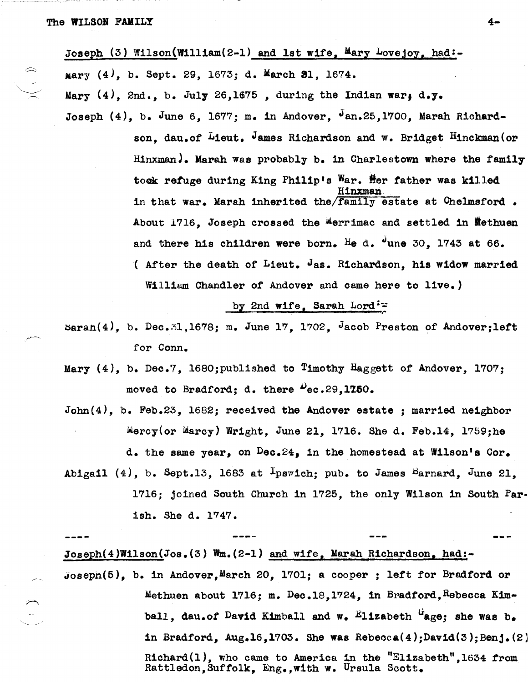Joseph (3) Wilson(William(2-1) and 1st wife, Mary Lovejoy, had:- $Mary (4)$ , b. Sept. 29, 1673; d. March 31, 1674. Mary  $(4)$ , 2nd., b. July 26,1675, during the Indian war; d.y. Joseph  $(4)$ , b. June 6, 1677; m. in Andover,  $\sqrt{25,1700}$ , Marah Richardson, dau.of Lieut. James Richardson and w. Bridget Hinckman (or HinxmanJ. Marah was probably b. in Charlestown where the family tock refuge during King Philip's War. Her father was killed HinXmari. in that war. Marah inherited the/family estate at Chelmsford. About  $1716$ , Joseph crossed the Merrimac and settled in flethuen and there his children were born. He d.  $\sigma$ une 30, 1743 at 66.

> ( After the death of Lieut.  $J_{\text{AS}}$ . Richardson, his widow married William Chandler of Andover and came here to live.)

## by 2nd wife. Sarah Lord: $=$

 $\texttt{Saran}(4)$ , b. Dec.31,1678; m. June 17, 1702, Jacob Preston of Andover;left for Conn.

Mary (4), b. Dec.?, l680;published to Timothy Haggett of Andover, 1707; moved to Bradford; d. there  $\frac{1}{2}$ ec.29,1750.

 $John(4)$ , b. Feb.23, 1682; received the Andover estate; married neighbor  $\texttt{Mercy}(or \texttt{ Marcy})$  Wright, June 21, 1716. She d. Feb.14, 1759;he d. the same year, on Dec.24, in the homestead at Wilson's Cor. Abigail (4), b. Sept.13, 1683 at  $I_{pswich}$ ; pub. to James Barnard, June 21,

1716; joined South Church in 1725, the only Wilson in South Parish. She d. 1747.

Joseph(4)Wilson(Jos.(3) Wm.(2-1) and wife, Maran Richardson, had:-  $Joseph(5)$ , b. in Andover, March 20, 1701; a cooper; left for Bradford or Methuen about  $1716$ ; m. Dec.18,1724, in Bradford, Rebecca Kimball, dau.of David Kimball and w. Elizabeth "age: she was b. in Bradford, Aug.16,1703. She was Rebecca(4);David(3);Benj.(2) Richard(l), who came to America in the "El1zabeth",1634 from Rattledon, Suffolk, Eng., with w. Ursula Scott.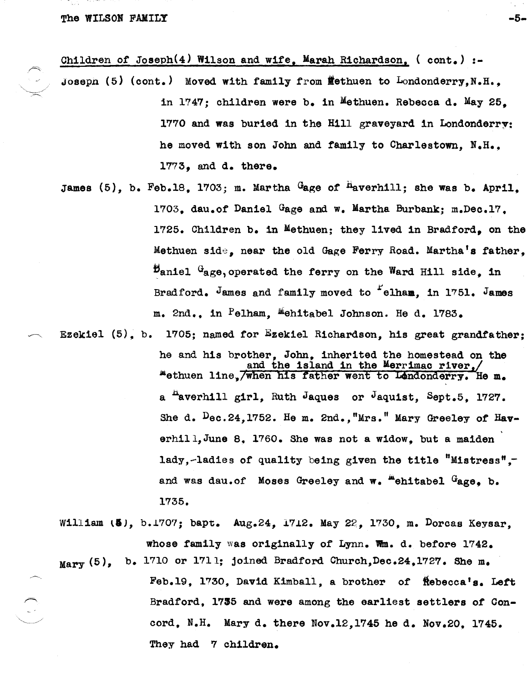The WILSON FAMILY  $-5-$ 

 $\bigcirc$ 

Children of Joseph $(4)$  Wilson and wife, Marah Richardson,  $($  cont. $)$  :-

- Joseph (5) (cont.) Moved with family from Wethuen to Londonderry, N.H.. in 1747; children were b. in Methuen. Rebecca d. May 25. 1770 and was buried in the Hill graveyard in Londonderry: he moved with son John and family to Charlestown, N.H.. 1773, and d. there.
- James  $(5)$ , b. Feb.18, 1703; m. Martha  $G$ age of  $H$ averhill; she was b. April. 1703, dau.of Daniel Gage and w. Martha Burbank; m.Dec.17, 1725. Children b. in Methuen; they lived in Bradford, on the Methuen side, near the old Gage Ferry Road. Martha's father,  $\mathcal{D}_{\text{aniel}}$   $G_{\text{age}}$ , operated the ferry on the Ward Hill side, in Bradford. James and family moved to <sup>f</sup>elham, in 1751. James m. 2nd., in Pelham, Mehitabel Johnson. He d. 1783.
- Ezekiel (5). b. 1705; named for Ezekiel Richardson, his great grandfather; he and his brother, John, inherited the homestead on the and the island in the Merrimac river, "ethuen line, when his father went to Lendonderry. He m. a <sup>A</sup>averhill girl, Ruth Jaques or Jaquist, Sept.5, 1727. She d. Dec.24,1752. He m. 2nd.,"Mrs." Mary Greeley of Haverhill, June 8. 1760. She was not a widow, but a maiden 1adY,-ladies of quality being given the title "Mistress", and was dau.of Moses Greeley and w. "ehitabel Gage. b. 1735.
	- William (5), b.1707; bapt. Aug.24, 1712. May 22, 1730, m. Dorcas Keysar, whose tamily was originally *ot* Lynn. wm. d. before 1742.

 $Mary$  (5), b. 1710 or 1711; joined Bradford Church, Dec.24, 1727. She m.

Feb.19, 1730, David Kimball, a brother of Rebecca's. Left Bradford, 1735 and were among the earliest settlers *ot* Concord, N.H. Mary d. there Nov.12,1745 he d. Nov.20. 1745. They had 7 children.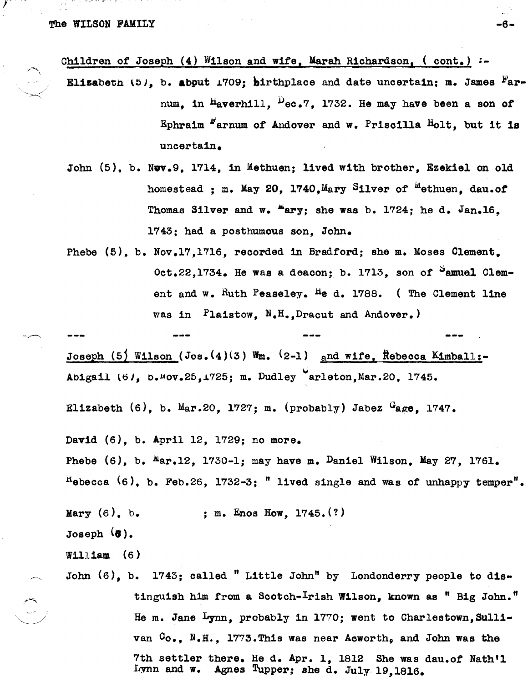r

Children of Joseph  $(4)$  Wilson and wife, Marah Richardson,  $($  cont. $)$ :-

- Elizabetn *lbl,* b. abput *L709;* hirthplace and date uncertain; m. James Farnum, in  $H_{\text{averhill}}$ ,  $P_{\text{ec.7}}$ , 1732. He may have been a son of Ephraim  $r$  arnum of Andover and w. Priscilla Holt, but it is uncertain.
- John (5), b. Nov.9, 1714, in Methuen; lived with brother, Ezekiel on old homestead : m. May 20, 1740, Mary Silver of  $^{\text{m}}$ ethuen, dau.of Thomas Silver and w. "ary; she was b. 1724; he d. Jan.16. 1743; had a posthumous son, John.
- Phebe (5), b. Nov.17,1716, recorded in Bradford; she m. Moses Clement.  $Oct.22.1734.$  He was a deacon; b. 1713, son of  $^5$ amuel Clement and w. Ruth Peaseley. He d. 1788. (The Clement line was in Plaistow, N.H.,Dracut and Andover,)

Joseph (5) Wilson (Jos.(4)(3) Wm. (2-1) and wife, Rebecca Kimball:-Abigail (6), b.<sup>n</sup>ov.25,1725; m. Dudley erleton, Mar.20, 1745.

Elizabeth  $(6)$ , b. Mar.20, 1727; m. (probably) Jabez  $G_{\text{age}}$ , 1747.

Davld (6), b. April 12, 1729; no more.

Phebe  $(6)$ , b.  $\text{Mar.12}$ , 1730-1; may have m. Daniel Wilson, May 27, 1761.  $R$ <sup>H</sup>ebecca  $(6)$ , b. Feb.26, 1732-3; " lived single and was of unhappy temper".

Mary  $(6)$ , b. Joseph (8).  $W1111$  am  $(6)$ ; m. Enos How, 1745. (?) John (6), b. 1743; called "Little John" by Londonderry people to distinguish him from a Scotch-Irish Wilson, known as " Big John." He m. Jane Lynn, probably in 1770; went to Charlestown, Sulli-

> van  $G_0$ ., N.H., 1773.This was near Acworth, and John was the 7th settler there. He d. Apr. 1, 1812 She was dau.of Nath'l Lynn and w. Agnes Tupper; she d. July· 19,1816.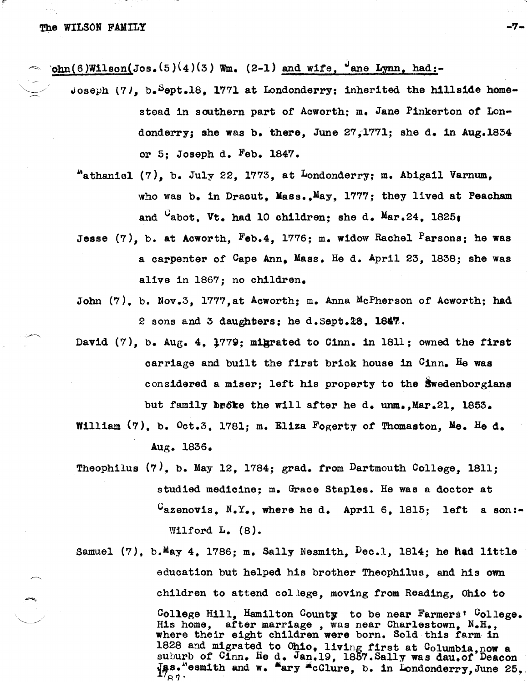$~\cdot \text{ohn}(6)$ Wilson(Jos.(5)(4)(3) Wm. (2-1) and wife,  $\cdot$  ane Lynn, had:-

- Joseph (7), b. Sept.18, 1771 at Londonderry; inherited the hillside homestead in southern part of Acworth; m. Jane Pinkerton of Londonderry; she was b. there, June 27,1771; she d. in Aug.1834 or 5; Joseph d. Feb. 1847.
	- bathaniel (7), b. July 22, 1773, at Londonderry; m. Abigail Varnum, who was b. in Dracut. Mass., May. 1777; they lived at Peacham and <sup>C</sup>abot. Vt. had 10 children; she d. Mar.24, 1825;
	- Jesse  $(7)$ , b. at Acworth, Feb.4, 1776; m. widow Rachel Parsons; he was a oarpenter *ot* Cape Ann, Mass. He d. April 23, 1838; she was alive in 1867; no children.
- John (7), b. Nov.3, l777,at Aoworth; m. Anna MoPherson of Aoworth; had 2 sons and 3 daughters; he d. Sept.  $28$ , 1847.
- David (7), b. Aug. 4, l779; migrated to Cinn. in 1811; owned the tirst carriage and built the first brick house in Cinn. He was oonsidered a miser; lett his property to the Swedenborgians but family broke the will after he d. unm.,Mar.2l. 1853.
- William (7), b. Oct.3, 1781; m. Eliza Fogerty of Thomaston, Me. He d. Aug. 1836.
- Theophilus  $(7)$ , b. May 12, 1784; grad. from Dartmouth College, 1811; studied medioine; m. Graoe Staples. He was a doctor at  $C_{\text{azenovis}}$ , N.Y., where he d. April 6, 1815; left a son:-Wilford L. (8).
- Samuel  $(7)$ , b.May 4, 1786; m. Sally Nesmith,  $Dec.1$ , 1814; he had little eduoation but helped his brother Theophilus, and his own children to attend college, moving trom Reading, Ohio to College Hill, Hamilton County to be near Farmers' College. His home, after marriage, was near Charlestown,  $N_{\bullet}H_{\bullet}$ , where their eight children were born. Sold this farm in 1828 and migrated to Ohio, living first at Columbia, now a suburb of Cinn. He d. Jan.19, 1857. Sally was dau.of Deacon Jas."esmith and w.  $\lim_{n \to \infty}$  .  $\lim_{n \to \infty}$  . In Londonderry, June 25,.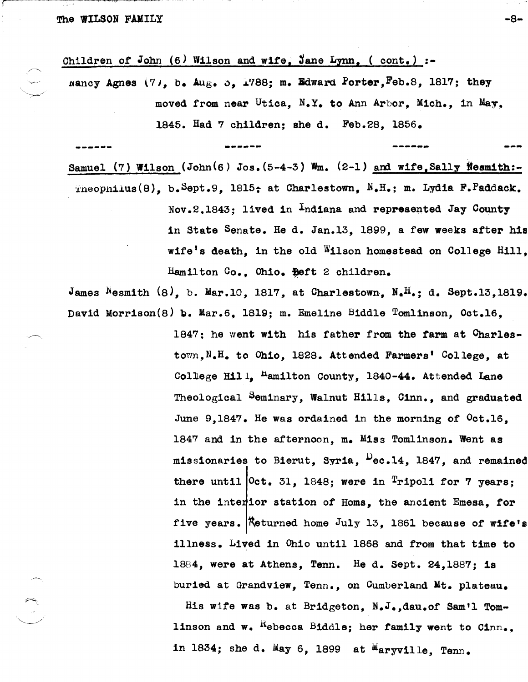Children of John (6) Wilson and wife, Jane Lynn, (  $cont.$ ) :-

nancy Agnes (7), b. Aug. 5, 1788; m. Edward Porter, Feb.8, 1817; they moved from near Utica,  $N_xY_c$  to Ann Arbor, Mich., in May, *1B45.* Had 7 children; she d. Feb.2B, 1856.

**...... -.... -----.. --...... --..** --- Samuel (7) Wilson (John(6) Jos.  $(5-4-3)$  Wm. (2-1) and wife, Sally Nesmith:-

 $r_{\rm{meopnikus}}(8)$ , b.Sept.9, 1815; at Charlestown, N.H.; m. Lydia F.Paddack. Nov.2.1843; lived in Indiana and represented Jay County in State Senate. He d. Jan.13, IB99, a few weeks after his wife's death, in the old Wilson homestead on College Hill, Hamilton Co., Ohio. Heft 2 children.

James Nesmith  $(8)$ , b. Mar.10, 1817, at Charlestown, N.<sup>H</sup>.; d. Sept.13,1819. David Morrison(8) b. Mar.6, 1819; m. Emeline Biddle Tomlinson, Oct.16,

> $1847$ ; he went with his father from the farm at  $Char1$ estown,N.H. to Ohio, l82B. Attended Farmers' College, at College Hill,  $\text{Hamilton}$  County, 1840-44. Attended Lane Theological Seminary, Walnut Hills, Cinn., and graduated June 9,1847. He was ordained in the morning *ot* Oct.16, 1847 and in the afternoon, m. Miss Tomlinson. Went as missionaries to Bierut, Syria,  $P_{\text{ec.14}}$ , 1847, and remained there until  $[0ct. 31, 1848;$  were in Tripoli for 7 years; in the interior station of Homs, the ancient Emesa, for five years.  $R$ eturned home July 13, 1861 because of wife's illness. Lived in Ohio until 1868 and from that time to 1884, were at Athens, Tenn. He d. Sept.  $24,1887$ ; is buried at Grandview, Tenn., on Cumberland Mt. plateau.

His wife was b. at Bridgeton, N.J.,dau.of Sam'l Tomlinson and w.  $^{K}$ ebecca Biddle; her family went to Cinn. in 1834; she d. May 6, 1899 at Maryville, Tenn.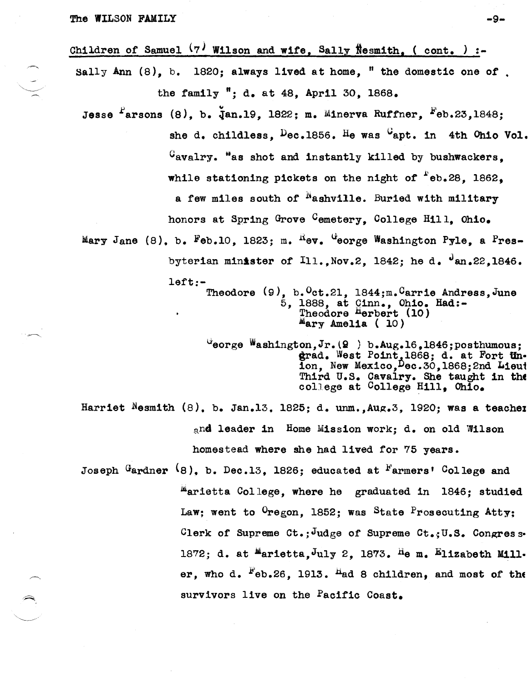The WILSON FAMILY  $-9-$ 

Children of Samuel  $(7)$  Wilson and wife, Sally Nesmith, (cont. ) :-Sally Ann  $(8)$ , b. 1820; always lived at home, " the domestic one of. the family "; d. at 48. April 30. 1868. Jesse  $f$ arsons (8), b.  $\bar{d}$ an.19, 1822; m. Minerva Ruffner,  $F$ eb.23,1848; she d. childless.  $Dec.1856$ . He was  $G$ apt. in 4th Ohio Vol.  $G_{\alpha}$ avalry. "as shot and instantly killed by bushwackers. while stationing pickets on the night of  $e$ eb.28. 1862. a few miles south of  $N$  ashville. Buried with military honors at Spring Grove Cemetery. College Hill, Ohio. Mary Jane (8), b. Feb.10, 1823; m.  $^{R}$ ev.  $^{G}$ eorge Washington Pyle, a Presbyterian minister of  $I11.$ , Nov.2, 1842; he d.  $\frac{J_{\text{an}}22.1846}{\cdot}$ left:- Theodore (9), b. Oct.21, 1844;m. Carrie Andress, June 5, 1888, at Qinn., Ohio. Had:- Theodore Herbert (10)  $M<sub>ary</sub>$  Amelia (10)  $U$ eorge Washington, Jr. $(Q)$  ) b.Aug.16,1846; posthumous; grad. West Point, 1868; d. at Fort Un. ion, New Mexico, Dec. 30, 1868; 2nd Lieut Third U.S. Cavalry. She taught in tht! college at College Hill, Ohio.

Harriet Nesmith  $(8)$ , b. Jan.13, 1825; d. unm., Aug.3, 1920; was a teacher and leader in Home Mission work; d. on old Wilson homestead where she had lived for 75 years.

Joseph  $G$ ardner  $(8)$ . b. Dec.13. 1826; educated at  $F$ armers' College and marietta College, where he graduated in 1846; studied Law; went to  $0$ regon, 1852; was State Prosecuting Atty; Clerk of Supreme Ct.: Judge of Supreme Ct.: U.S. Congress-1872; d. at  $M$ arietta, $J$ uly 2, 1873. He m. Elizabeth Miller, who d.  $F_{e}b.26$ , 1913.  $H_{ed}$  8 children, and most of the survivors live on the Pacific Coast.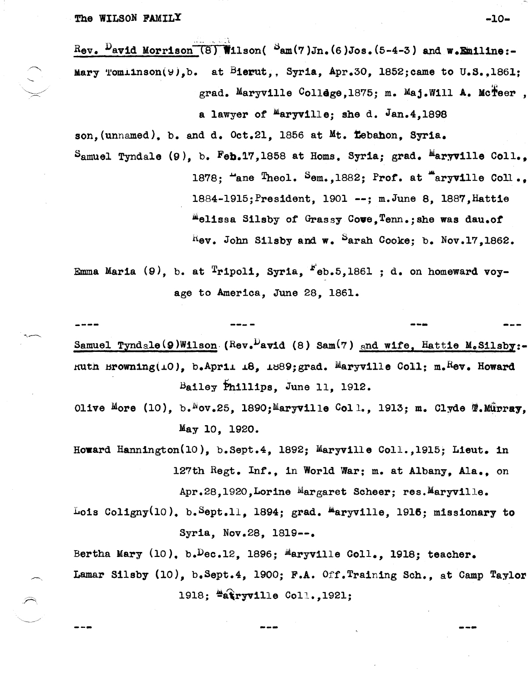Rev.  $D$ avid Morrison (8) Wilson( $D$ am(7)Jn. (6)Jos. (5-4-3) and w.Emiline:-Mary Tomiinson(9), b. at Bierut, Syria, Apr. 30, 1852; came to U.S., 1861; grad. Maryville College, 1875; m. Maj.Will A. McTeer,

a lawyer of  $M$ aryville; she d. Jan.4.1898

son, (unnamed), b. and d. Oct.21, 1856 at Mt. Tebahon, Syria. Samuel Tyndale  $(9)$ , b. Feb.17,1858 at Homs, Syria; grad. Maryville Coll., 1878; "ane Theol. Sem., 1882; Prof. at "aryville Coll..

> 1884-1915; President, 1901 --; m.June 8, 1887, Hattie melissa Silsby of Grassy Cove, Tenn.; she was dau.of  $R$ ev. John Silsby and w. Sarah Cooke; b. Nov.17.1862.

Emma Maria (9), b. at  $\text{Tripoli}$ , Syria,  $\text{Feb.5,1861}$ ; d. on homeward voyage to America, June 28, 1861.

Samuel Tyndale (9) Wilson (Rev. Pavid (8) Sam(7) and wife, Hattie M. Silsby:-Ruth Browning(10), b.April 18, 1889; grad. Maryville Coll: m.Rev. Howard Bailey Phillips, June 11, 1912.

- Olive More (10), b. Nov.25, 1890; Maryville Coll., 1913; m. Clyde T. Mürray. May 10, 1920.
- Howard Hannington(10), b.Sept.4, 1892; Maryville Coll., 1915; Lieut. in 127th Regt. Inf., in World War; m. at Albany, Ala., on Apr.28,1920, Lorine Margaret Scheer; res. Maryville.
- Lois Coligny(10), b. Sept.11, 1894; grad.  $M$ aryville, 1916; missionary to Syria, Nov.28, 1819 --.

Bertha Mary  $(10)$ , b. Dec. 12, 1896; Maryville Coll., 1918; teacher. Lamar Silsby (10), b.Sept.4, 1900; F.A. Off. Training Sch., at Camp Taylor 1918; #atryville Coll., 1921;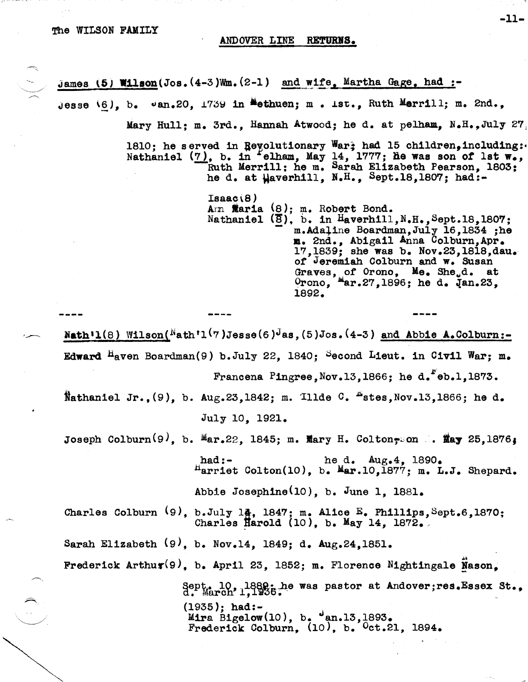### ANDOVER LINE RETURNS.

James  $\left(5\right)$  Wilson(Jos.  $(4-3)$ Wm.  $(2-1)$  and wife, Martha Gage, had :-Jesse  $(6)$ , b.  $\upsilon$ an.20, 1739 in Methuen; m. 1st., Ruth Merrill; m. 2nd., Mary Hull: m. 3rd., Hannah Atwood; he d. at pelham, N.H.,July 27. 1810; he served in Revolutionary War; had 15 children, including: Nathaniel (7), b. in elham, May 14, 1777; he was son of lst w., Ruth Merrill; he m. Sarah Elizabeth Pearson, 1803: he d. at  $\mu$ averhill, N.H., Sept.18,1807; had:- $Isaac(8)$ Am **Maria** (8); m. Robert Bond. Nathaniel  $(\overline{8})$ , b. in Haverhill, N.H., Sept.18, 1807; m.Adaline Boardman, July 16, 1834; he m. 2nd., Abigail Anna Colburn,Apr. 17,1839; she was b. Nov.23,1818,dau. of Jeremiah Colburn and w. Susan Graves, of Orono,  $Me$ . She.,d. at  $0$ rono,  $^{\text{M}}$ ar.27,1896; he d. Jan.23, lS92. Nath'l(8) Wilson( $N_{\text{ath}}$ 'l(7)Jesse(6)<sup>J</sup>as,(5)Jos.(4-3) and Abbie A.Colburn:-Edward  $^{\text{H}}$ aven Boardman(9) b.July 22. 1840; <sup>S</sup>econd Lieut. in Civil War; m. Francena Pingree, Nov.13,1866; he d.  $"eb.1,1873.$ Nathaniel Jr., $(9)$ , b. Aug.23,1842; m. Illde C.  $E$ stes,Nov.13,1866; he d. July 10, 1921. Joseph Colburn<sup>(9)</sup>, b.  $Mar.22$ , 1845; m. Mary H. Colton-son : May 25,1876. had:- he d.  $\text{Aug}_44$ ,  $1890$ .  $<sup>H</sup>arrlet Colton(10)$ , b.  $<sup>M</sup>ar.10,1877$ ; m. L.J. Shepard.</sup></sup> Abbie Joseph1ne(lO), b. June 1, 1881. Charles Colburn  $(9)$ , b.July 14, 1847; m. Alice E. Phillips, Sept.6,1870;<br>Charles Harold (10), b. May 14, 1872. Sarah Elizabeth (9), b. Nov.l4, lS49; d. Aug.24,1851. Frederick Arthur(9), b. April 23, 1852; m. Florence Nightingale Nason, Sept. 10, 1889; he was pastor at Andover;res.Essex St., (1935); had:- Mira Bigelow(10), b.  $\frac{1}{2}$ an.13,1893. Frederick Colburn, (10), b. Oct.21, 1894.

-11-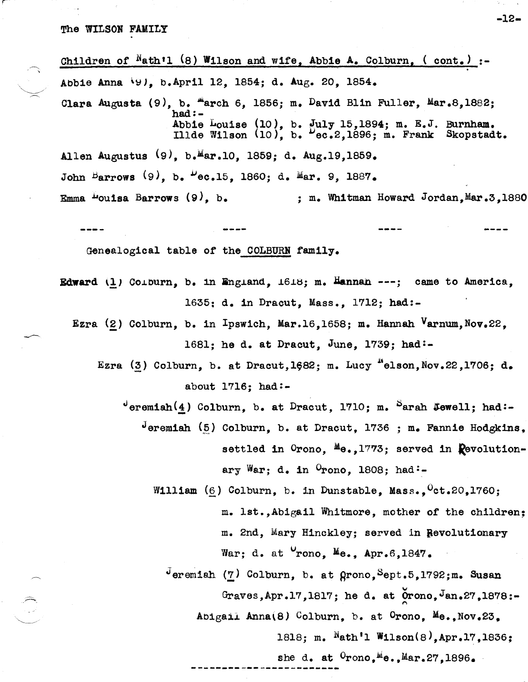The WILSON FAMILY

Children of  $Math1 (8)$  Wilson and wife, Abbie A. Colburn, (cont.) AbbIe Anna \~J, b.April 12, 1854; d. Aug. 20, 1854. Clara Augusta  $(9)$ , b. "arch 6, 1856; m. David Blin Fuller, Mar.8,1882;  $had:$  -Abbie Louise  $(10)$ , b.  $\overline{y}$ uly 15,1894; m. E.J. Burnham. Illde Wilson  $(10)$ , b.  $D_{ec,2,1896; m.}$  Frank Skopstadt. Allen Augustus (9), b.<sup>M</sup>ar.10, 1859; d. Aug.19,1859. John Barrows  $(9)$ , b.  $P_{\text{e.c.15}}$ , 1860; d. Mar. 9, 1887. Emma  $\mu$ ouisa Barrows (9), b. ; m. Whitman Howard Jordan, Mar.3,1880 GenealogIcal table of the COLBURN family. Edward  $(\underline{1})$  Coiburn, b. in England,  $1618$ ; m. Hannan  $--$ ; came to America. 1635: d. in Dracut, Mass., 1712; had:- Ezra (2) Colburn, b. in Ipswich, Mar.16,1658; m. Hannah Varnum, Nov.22. 1681; he d. at Dracut, June, 1739; had:- Ezra (3) Colburn, b. at Dracut,1682; m. Lucy "elson, Nov.22,1706; d. about  $1716$ ; had:- $^{\circ}$ eremiah $(4)$  Colburn, b. at Dracut, 1710; m.  $^{\circ}$ arah Jewell; had:deremiah (5) Colburn, b. at Dracut, 1736 ; m. Fannie Hodgkins, settled in  $0$ rono,  $^{M}\theta$ ., 1773; served in  $\mathbb{R}$ evolutionary War; d. in  $^{\circ}$ rono, 1808; had:-William  $(6)$  Colburn, b. in Dunstable, Mass.,  $Cct.20,1760$ ; m. 1st.,Abigall Whitmore, mother of the children; m. 2nd, Mary HInckley; served in Bevolutionary

War; d. at  $Vrono$ , Me., Apr.6,1847.

 $\sigma$ -Jeremiah (7) Colburn, b. at grono, Sept.5,1792;m. Susan Graves, Apr.17,1817; he d. at  $\overline{0}$ rono, Jan.27,1878:-Abigail Anna(8) Colburn, b. at Orono, Me., Nov.23, 1818; m. Nath'l W11son(8),Apr.17,1836; she d. at  $0$ rono, Me., Mar. 27, 1896.

**------------------------**

-12-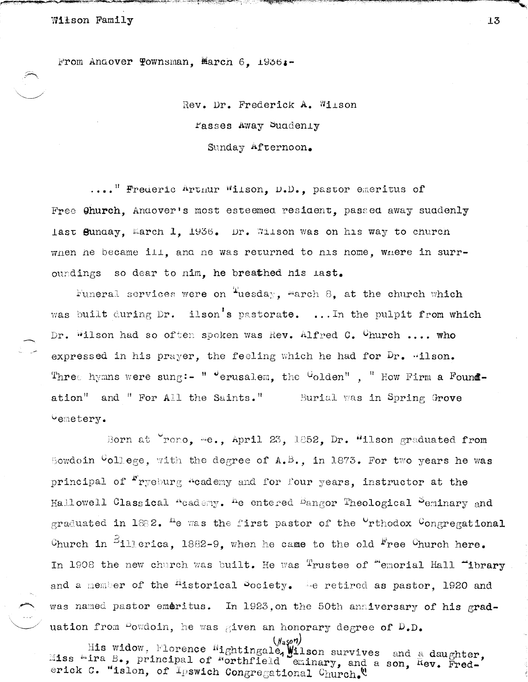Wilson Family

From Andover Townsman. March 6. 1956.-

# Rev. Dr. Frederick A. Wilson rasses Away Suddenly Sunday Afternoon.

.... Frederic Artmur Wilson, D.D., pastor emeritus of Free Church, Andover's most esteemed resident, passed away suddenly last Sunday, March 1, 1936. Dr. Wilson was on his way to church when he became ill, and he was returned to his home, where in surroundings so dear to nim. he breathed his last.

Funeral services were on  $T$ uesday, march 8, at the church which was built during Dr. ilson's pastorate. ... In the pulpit from which Dr. Wilson had so often spoken was Rev. Alfred C. Church .... who expressed in his prayer, the feeling which he had for Dr. "ilson. Three hymns were sung:- "  $^{\circ}$  erusalem, the  $^{\circ}$ olden", " How Firm a Foundation" and " For All the Saints." Burial was in Spring Grove vemetery.

Born at Yrono, me., April 23, 1852, Dr. "ilson graduated from Bowdoin  $G$ ollege, with the degree of A.B., in 1873. For two years he was principal of <sup>r</sup>ryeburg <sup>a</sup>cademy and for four years, instructor at the Hallowell Classical "cademy. <sup>h</sup>e entered <sup>B</sup>angor Theological <sup>S</sup>eminary and graduated in  $1882$ . <sup>h</sup>e was the first pastor of the <sup>0</sup>rthodox <sup>C</sup>ongregational Church in  $511$  erica, 1882-9, when he came to the old <sup>F</sup>ree Church here. In 1908 the new church was built. He was  $\texttt{Tn}$  rustee of "emorial Hall "ibrary . and a member of the <sup>m</sup>istorical bociety. The retired as pastor, 1920 and was named pastor emeritus. In 1923, on the 50th anniversary of his graduation from <sup>D</sup>owdoin, he was given an honorary degree of D.D.

W<sub>aso</sub>n)<br>His widow, Florence Mightingale, Wilson survives and a daughter,<br>Miss "ira B., principal of "orthfield eminary, and a son, Rev. Frederick C. "islon, of Ipswich Congregational Church.

13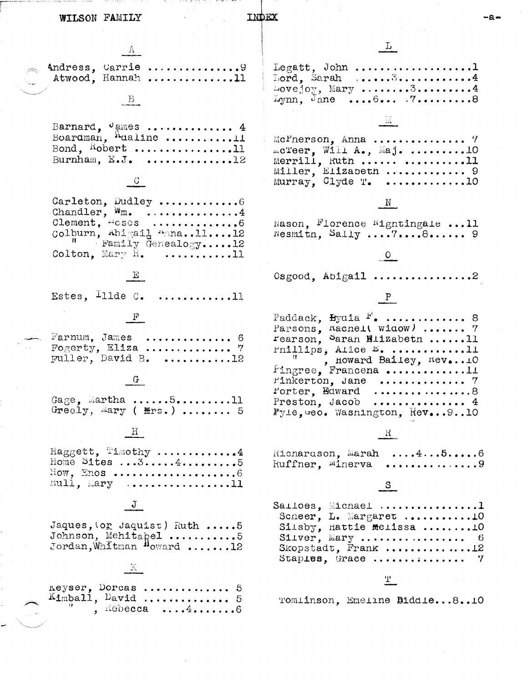